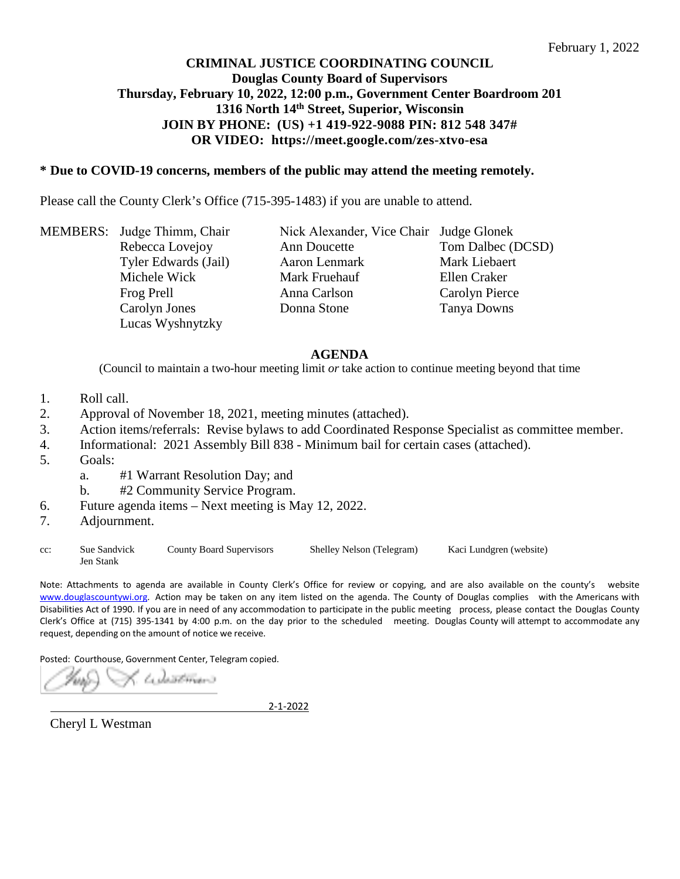# **CRIMINAL JUSTICE COORDINATING COUNCIL Douglas County Board of Supervisors Thursday, February 10, 2022, 12:00 p.m., Government Center Boardroom 201 1316 North 14th Street, Superior, Wisconsin JOIN BY PHONE: (US) +1 419-922-9088 PIN: 812 548 347# OR VIDEO: https://meet.google.com/zes-xtvo-esa**

## **\* Due to COVID-19 concerns, members of the public may attend the meeting remotely.**

Please call the County Clerk's Office (715-395-1483) if you are unable to attend.

MEMBERS: Judge Thimm, Chair Nick Alexander, Vice Chair Judge Glonek Rebecca Lovejoy **Ann** Doucette **Tom Dalbec (DCSD)** Tyler Edwards (Jail) Aaron Lenmark Mark Liebaert Michele Wick **Ellen** Craker Mark Fruehauf **Ellen** Craker Frog Prell **Anna Carlson** Carolyn Pierce Carolyn Jones Lucas Wyshnytzky

Ann Doucette Aaron Lenmark Anna Carlson Donna Stone Tanya Downs

#### **AGENDA**

(Council to maintain a two-hour meeting limit *or* take action to continue meeting beyond that time

- 1. Roll call.
- 2. Approval of November 18, 2021, meeting minutes (attached).
- 3. Action items/referrals: Revise bylaws to add Coordinated Response Specialist as committee member.
- 4. Informational: 2021 Assembly Bill 838 Minimum bail for certain cases (attached).
- 5. Goals:
	- a. #1 Warrant Resolution Day; and
	- b. #2 Community Service Program.
- 6. Future agenda items Next meeting is May 12, 2022.
- 7. Adjournment.

cc: Sue Sandvick County Board Supervisors Shelley Nelson (Telegram) Kaci Lundgren (website) Jen Stank

Note: Attachments to agenda are available in County Clerk's Office for review or copying, and are also available on the county's website [www.douglascountywi.org.](http://www.douglascountywi.org/) Action may be taken on any item listed on the agenda. The County of Douglas complies with the Americans with Disabilities Act of 1990. If you are in need of any accommodation to participate in the public meeting process, please contact the Douglas County Clerk's Office at (715) 395-1341 by 4:00 p.m. on the day prior to the scheduled meeting. Douglas County will attempt to accommodate any request, depending on the amount of notice we receive.

Posted: Courthouse, Government Center, Telegram copied.

. tadazetmais

2-1-2022

Cheryl L Westman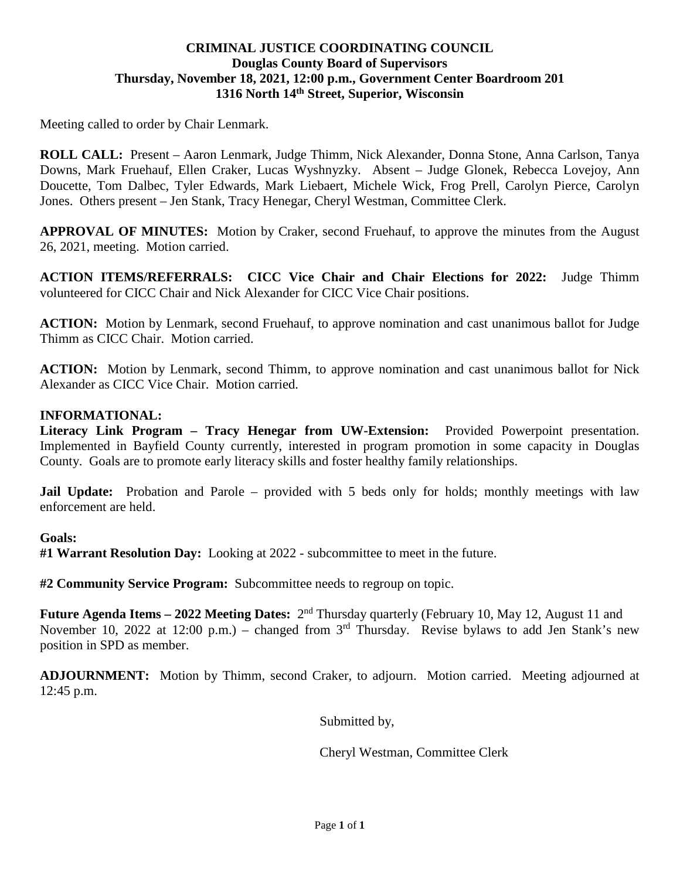# **CRIMINAL JUSTICE COORDINATING COUNCIL Douglas County Board of Supervisors Thursday, November 18, 2021, 12:00 p.m., Government Center Boardroom 201 1316 North 14th Street, Superior, Wisconsin**

Meeting called to order by Chair Lenmark.

**ROLL CALL:** Present – Aaron Lenmark, Judge Thimm, Nick Alexander, Donna Stone, Anna Carlson, Tanya Downs, Mark Fruehauf, Ellen Craker, Lucas Wyshnyzky. Absent – Judge Glonek, Rebecca Lovejoy, Ann Doucette, Tom Dalbec, Tyler Edwards, Mark Liebaert, Michele Wick, Frog Prell, Carolyn Pierce, Carolyn Jones. Others present – Jen Stank, Tracy Henegar, Cheryl Westman, Committee Clerk.

**APPROVAL OF MINUTES:** Motion by Craker, second Fruehauf, to approve the minutes from the August 26, 2021, meeting. Motion carried.

**ACTION ITEMS/REFERRALS: CICC Vice Chair and Chair Elections for 2022:** Judge Thimm volunteered for CICC Chair and Nick Alexander for CICC Vice Chair positions.

**ACTION:** Motion by Lenmark, second Fruehauf, to approve nomination and cast unanimous ballot for Judge Thimm as CICC Chair. Motion carried.

**ACTION:** Motion by Lenmark, second Thimm, to approve nomination and cast unanimous ballot for Nick Alexander as CICC Vice Chair. Motion carried.

# **INFORMATIONAL:**

**Literacy Link Program – Tracy Henegar from UW-Extension:** Provided Powerpoint presentation. Implemented in Bayfield County currently, interested in program promotion in some capacity in Douglas County. Goals are to promote early literacy skills and foster healthy family relationships.

**Jail Update:** Probation and Parole – provided with 5 beds only for holds; monthly meetings with law enforcement are held.

### **Goals:**

**#1 Warrant Resolution Day:** Looking at 2022 - subcommittee to meet in the future.

**#2 Community Service Program:** Subcommittee needs to regroup on topic.

**Future Agenda Items – 2022 Meeting Dates:** 2nd Thursday quarterly (February 10, May 12, August 11 and November 10, 2022 at 12:00 p.m.) – changed from  $3<sup>rd</sup>$  Thursday. Revise bylaws to add Jen Stank's new position in SPD as member.

**ADJOURNMENT:** Motion by Thimm, second Craker, to adjourn. Motion carried. Meeting adjourned at 12:45 p.m.

Submitted by,

Cheryl Westman, Committee Clerk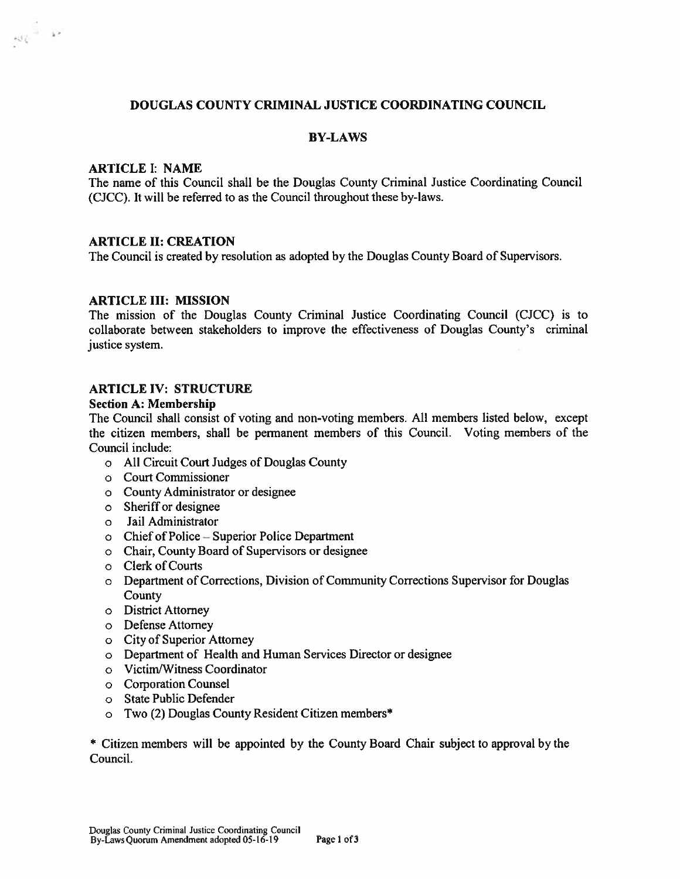#### **DOUGLAS COUNTY CRIMINAL JUSTICE COORDINATING COUNCIL**

#### **BY-LAWS**

#### **ARTICLE I: NAME**

 $\left\vert \mathcal{G}_{\mathcal{L}}^{\left(1\right)}\right\vert =\mathcal{O}^{\left(1\right)}$ 

The name of this Council shall be the Douglas County Criminal Justice Coordinating Council (CJCC). It will be referred to as the Council throughout these by-laws.

#### **ARTICLE II: CREATION**

The Council is created by resolution as adopted by the Douglas County Board of Supervisors.

#### **ARTICLE III: MISSION**

The mission of the Douglas County Criminal Justice Coordinating Council (CJCC) is to collaborate between stakeholders to improve the effectiveness of Douglas County's criminal justice system.

# **ARTICLE IV: STRUCTURE**

#### **Section A: Membership**

The Council shall consist of voting and non-voting members. All members listed below, except the citizen members, shall be permanent members of this Council. Voting members of the Council include:

- o All Circuit Court Judges of Douglas County
- o Court Commissioner
- o County Administrator or designee
- o Sheriff or designee
- o Jail Administrator
- o Chief of Police Superior Police Department
- o Chair, County Board of Supervisors or designee
- o Clerk of Courts
- o Department of Corrections, Division of Community Corrections Supervisor for Douglas County
- o District Attorney
- o Defense Attorney
- o City of Superior Attorney
- o Department of Health and Human Services Director or designee
- o Victim/Witness Coordinator
- o Corporation Counsel
- o State Public Defender
- o Two (2) Douglas County Resident Citizen members\*

\* Citizen members will be appointed by the County Board Chair subject to approval by the Council.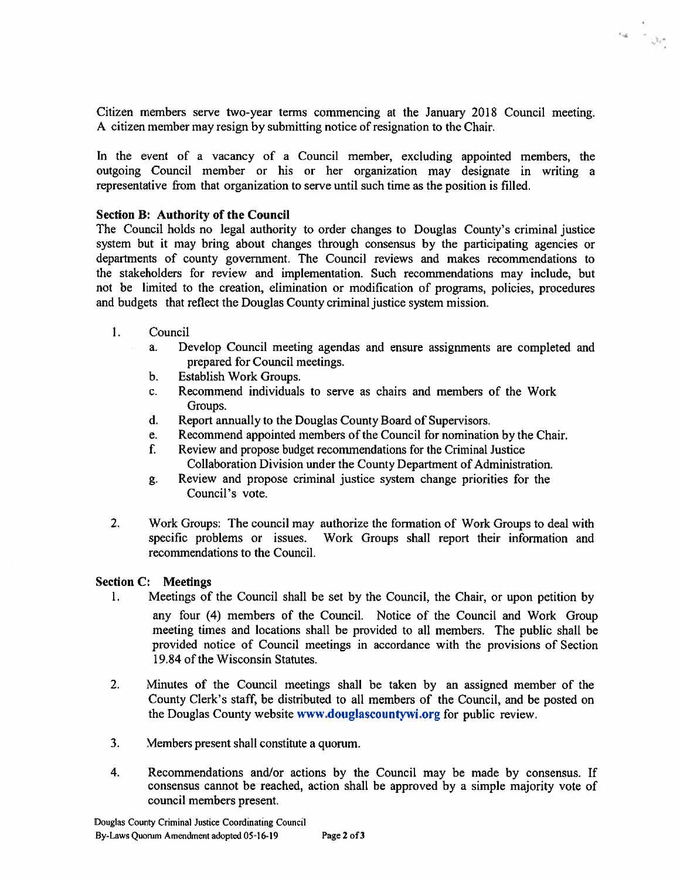Citizen members serve two-year terms commencing at the January 2018 Council meeting. A citizen member may resign by submitting notice of resignation to the Chair.

 $\alpha$  -  $\beta$ 

In the event of a vacancy of a Council member, excluding appointed members, the outgoing Council member or his or her organization may designate in writing a representative from that organization to serve until such time as the position is filled.

#### **Section B: Authority of the Council**

The Council holds no legal authority to order changes to Douglas County's criminal justice system but it may bring about changes through consensus by the participating agencies or departments of county government. The Council reviews and makes recommendations to the stakeholders for review and implementation. Such recommendations may include, but not be limited to the creation, elimination or modification of programs, policies, procedures and budgets that reflect the Douglas County criminal justice system mission.

- $1.$ Council
	- $\mathbf{a}$ . Develop Council meeting agendas and ensure assignments are completed and prepared for Council meetings.
	- Establish Work Groups.  $\mathbf{b}$ .
	- Recommend individuals to serve as chairs and members of the Work  $\mathbf{c}$ . Groups.
	- $\mathbf{d}$ . Report annually to the Douglas County Board of Supervisors.
	- Recommend appointed members of the Council for nomination by the Chair. e.
	- Review and propose budget recommendations for the Criminal Justice  $f_{\cdot}$ Collaboration Division under the County Department of Administration.
	- Review and propose criminal justice system change priorities for the g. Council's vote.
- $2.$ Work Groups: The council may authorize the formation of Work Groups to deal with specific problems or issues. Work Groups shall report their information and recommendations to the Council.

#### **Section C: Meetings**

- $\mathbf{1}$ . Meetings of the Council shall be set by the Council, the Chair, or upon petition by any four (4) members of the Council. Notice of the Council and Work Group meeting times and locations shall be provided to all members. The public shall be provided notice of Council meetings in accordance with the provisions of Section 19.84 of the Wisconsin Statutes.
- $2.$ Minutes of the Council meetings shall be taken by an assigned member of the County Clerk's staff, be distributed to all members of the Council, and be posted on the Douglas County website www.douglascountywi.org for public review.
- $3<sub>1</sub>$ Members present shall constitute a quorum.
- Recommendations and/or actions by the Council may be made by consensus. If  $\overline{4}$ . consensus cannot be reached, action shall be approved by a simple majority vote of council members present.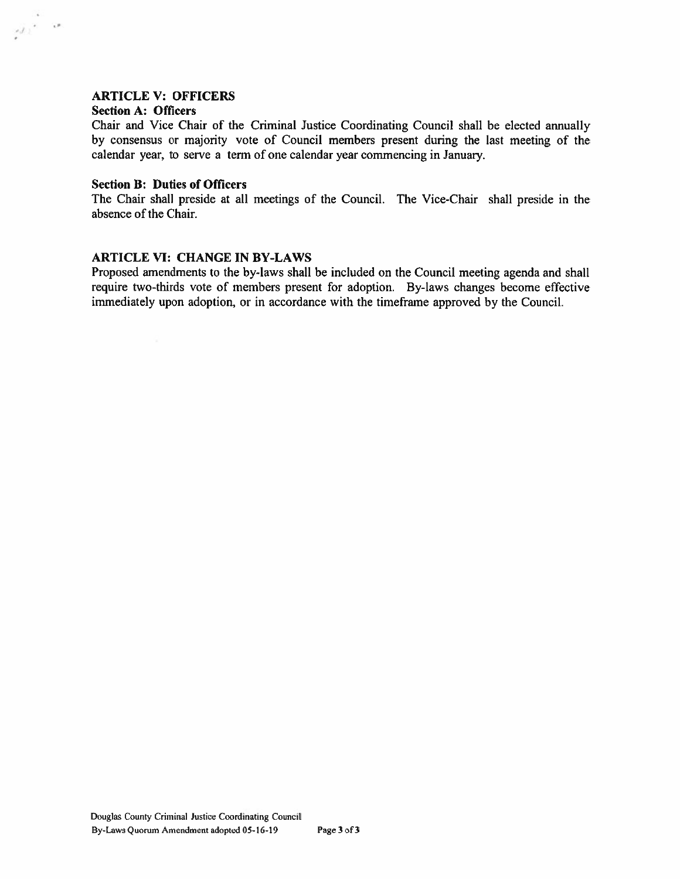#### **ARTICLE V: OFFICERS**

#### **Section A: Officers**

 $\mathcal{J}^{\pm}_{\mathcal{I}}$  , is

Chair and Vice Chair of the Criminal Justice Coordinating Council shall be elected annually by consensus or majority vote of Council members present during the last meeting of the calendar year, to serve a term of one calendar year commencing in January.

#### **Section B: Duties of Officers**

The Chair shall preside at all meetings of the Council. The Vice-Chair shall preside in the absence of the Chair.

#### **ARTICLE VI: CHANGE IN BY-LAWS**

Proposed amendments to the by-laws shall be included on the Council meeting agenda and shall require two-thirds vote of members present for adoption. By-laws changes become effective immediately upon adoption, or in accordance with the timeframe approved by the Council.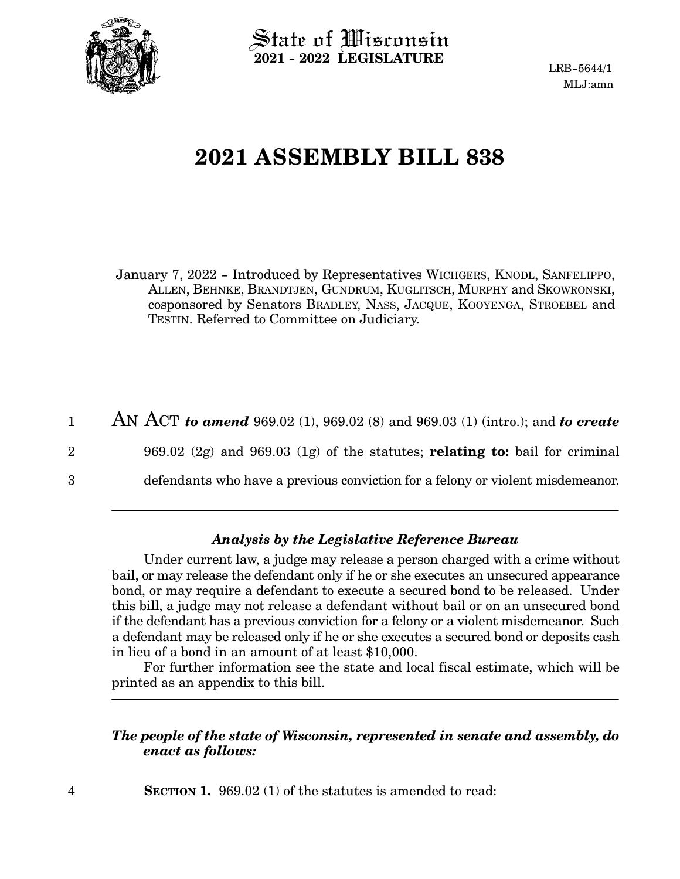

 $\operatorname{\mathsf{State}}$  of Wisconsin **2021 - 2022 LEGISLATURE**

LRB-5644/1 MLJ:amn

# **2021 ASSEMBLY BILL 838**

January 7, 2022 - Introduced by Representatives WICHGERS, KNODL, SANFELIPPO, ALLEN, BEHNKE, BRANDTJEN, GUNDRUM, KUGLITSCH, MURPHY and SKOWRONSKI, cosponsored by Senators BRADLEY, NASS, JACQUE, KOOYENGA, STROEBEL and TESTIN. Referred to Committee on Judiciary.

AN ACT *to amend* 969.02 (1), 969.02 (8) and 969.03 (1) (intro.); and *to create* 969.02 (2g) and 969.03 (1g) of the statutes; **relating to:** bail for criminal defendants who have a previous conviction for a felony or violent misdemeanor. 1 2 3

# *Analysis by the Legislative Reference Bureau*

Under current law, a judge may release a person charged with a crime without bail, or may release the defendant only if he or she executes an unsecured appearance bond, or may require a defendant to execute a secured bond to be released. Under this bill, a judge may not release a defendant without bail or on an unsecured bond if the defendant has a previous conviction for a felony or a violent misdemeanor. Such a defendant may be released only if he or she executes a secured bond or deposits cash in lieu of a bond in an amount of at least \$10,000.

For further information see the state and local fiscal estimate, which will be printed as an appendix to this bill.

# *The people of the state of Wisconsin, represented in senate and assembly, do enact as follows:*

**SECTION 1.** 969.02 (1) of the statutes is amended to read: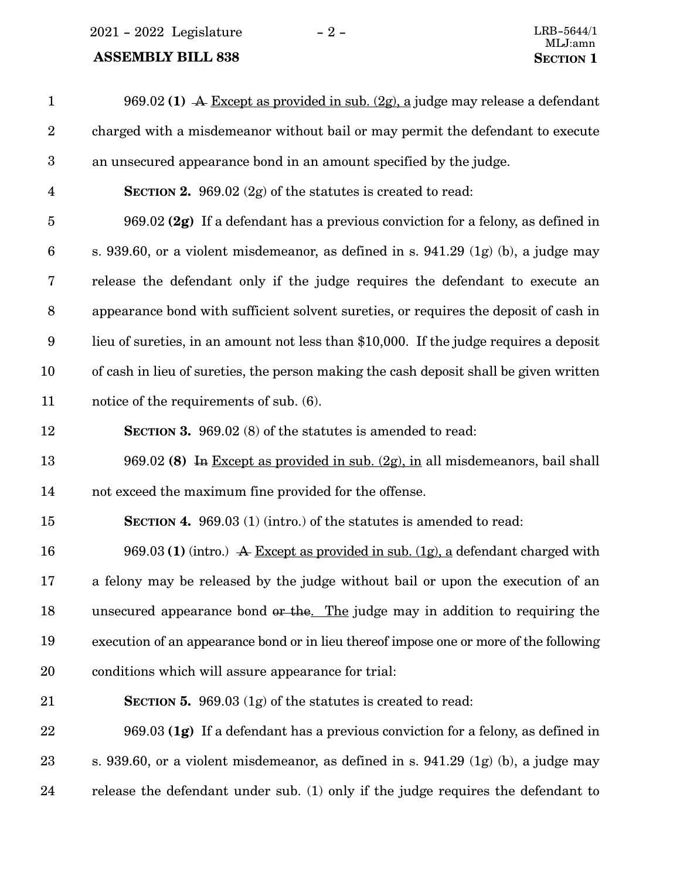# **ASSEMBLY BILL 838 SECTION 1**

| $\mathbf{1}$     | 969.02 (1) A Except as provided in sub. $(2g)$ , a judge may release a defendant       |
|------------------|----------------------------------------------------------------------------------------|
| $\sqrt{2}$       | charged with a misdemeanor without bail or may permit the defendant to execute         |
| $\boldsymbol{3}$ | an unsecured appearance bond in an amount specified by the judge.                      |
| $\overline{4}$   | <b>SECTION 2.</b> 969.02 $(2g)$ of the statutes is created to read:                    |
| $\overline{5}$   | 969.02 (2g) If a defendant has a previous conviction for a felony, as defined in       |
| $\boldsymbol{6}$ | s. 939.60, or a violent misdemeanor, as defined in s. 941.29 $(1g)$ (b), a judge may   |
| 7                | release the defendant only if the judge requires the defendant to execute an           |
| $\,8\,$          | appearance bond with sufficient solvent sureties, or requires the deposit of cash in   |
| 9                | lieu of sureties, in an amount not less than \$10,000. If the judge requires a deposit |
| 10               | of cash in lieu of sureties, the person making the cash deposit shall be given written |
| 11               | notice of the requirements of sub. (6).                                                |
| 12               | <b>SECTION 3.</b> 969.02 (8) of the statutes is amended to read:                       |
| 13               | 969.02 (8) In Except as provided in sub. $(2g)$ , in all misdemeanors, bail shall      |
| 14               | not exceed the maximum fine provided for the offense.                                  |
| 15               | <b>SECTION 4.</b> 969.03 (1) (intro.) of the statutes is amended to read:              |
| 16               | 969.03 (1) (intro.) A Except as provided in sub. (1g), a defendant charged with        |
| 17               | a felony may be released by the judge without bail or upon the execution of an         |
| 18               | unsecured appearance bond or the. The judge may in addition to requiring the           |
| 19               | execution of an appearance bond or in lieu thereof impose one or more of the following |
| $20\,$           | conditions which will assure appearance for trial:                                     |
| 21               | <b>SECTION 5.</b> 969.03 $(1g)$ of the statutes is created to read:                    |
| 22               | 969.03 (1g) If a defendant has a previous conviction for a felony, as defined in       |
| 23               | s. 939.60, or a violent misdemeanor, as defined in s. 941.29 (1g) (b), a judge may     |
| 24               | release the defendant under sub. (1) only if the judge requires the defendant to       |